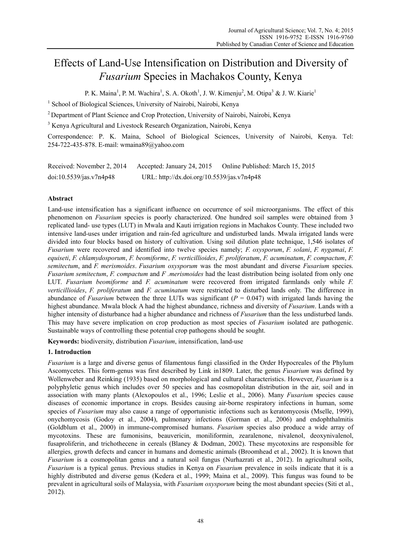# Effects of Land-Use Intensification on Distribution and Diversity of *Fusarium* Species in Machakos County, Kenya

P. K. Maina<sup>1</sup>, P. M. Wachira<sup>1</sup>, S. A. Okoth<sup>1</sup>, J. W. Kimenju<sup>2</sup>, M. Otipa<sup>3</sup> & J. W. Kiarie<sup>1</sup>

<sup>1</sup> School of Biological Sciences, University of Nairobi, Nairobi, Kenya

<sup>2</sup> Department of Plant Science and Crop Protection, University of Nairobi, Nairobi, Kenya

<sup>3</sup> Kenya Agricultural and Livestock Research Organization, Nairobi, Kenya

Correspondence: P. K. Maina, School of Biological Sciences, University of Nairobi, Kenya. Tel: 254-722-435-878. E-mail: wmaina89@yahoo.com

| Received: November 2, 2014 | Accepted: January 24, 2015                 | Online Published: March 15, 2015 |
|----------------------------|--------------------------------------------|----------------------------------|
| doi:10.5539/jas.v7n4p48    | URL: http://dx.doi.org/10.5539/jas.v7n4p48 |                                  |

# **Abstract**

Land-use intensification has a significant influence on occurrence of soil microorganisms. The effect of this phenomenon on *Fusarium* species is poorly characterized. One hundred soil samples were obtained from 3 replicated land- use types (LUT) in Mwala and Kauti irrigation regions in Machakos County. These included two intensive land-uses under irrigation and rain-fed agriculture and undisturbed lands. Mwala irrigated lands were divided into four blocks based on history of cultivation. Using soil dilution plate technique, 1,546 isolates of *Fusarium* were recovered and identified into twelve species namely; *F. oxysporum*, *F. solani*, *F. nygamai*, *F. equiseti*, *F. chlamydosporum*, *F. beomiforme*, *F. verticillioides*, *F. proliferatum*, *F. acuminatum*, *F. compactum*, *F. semitectum*, and *F. merismoides*. *Fusarium oxysporum* was the most abundant and diverse *Fusarium* species. *Fusarium semitectum*, *F. compactum* and *F .merismoides* had the least distribution being isolated from only one LUT. *Fusarium beomiforme* and *F. acuminatum* were recovered from irrigated farmlands only while *F. verticillioides*, *F. proliferatum* and *F. acuminatum* were restricted to disturbed lands only. The difference in abundance of *Fusarium* between the three LUTs was significant (*P* = 0.047) with irrigated lands having the highest abundance. Mwala block A had the highest abundance, richness and diversity of *Fusarium*. Lands with a higher intensity of disturbance had a higher abundance and richness of *Fusarium* than the less undisturbed lands. This may have severe implication on crop production as most species of *Fusarium* isolated are pathogenic. Sustainable ways of controlling these potential crop pathogens should be sought.

**Keywords:** biodiversity, distribution *Fusarium*, intensification, land-use

# **1. Introduction**

*Fusarium* is a large and diverse genus of filamentous fungi classified in the Order Hypocreales of the Phylum Ascomycetes. This form-genus was first described by Link in1809. Later, the genus *Fusarium* was defined by Wollenweber and Reinking (1935) based on morphological and cultural characteristics. However, *Fusarium* is a polyphyletic genus which includes over 50 species and has cosmopolitan distribution in the air, soil and in association with many plants (Alexopoulos et al., 1996; Leslie et al., 2006). Many *Fusarium* species cause diseases of economic importance in crops. Besides causing air-borne respiratory infections in human, some species of *Fusarium* may also cause a range of opportunistic infections such as keratomycosis (Mselle, 1999), onychomycosis (Godoy et al., 2004), pulmonary infections (Gorman et al., 2006) and endophthalmitis (Goldblum et al., 2000) in immune-compromised humans. *Fusarium* species also produce a wide array of mycotoxins. These are fumonisins, beauvericin, moniliformin, zearalenone, nivalenol, deoxynivalenol, fusaproliferin, and trichothecene in cereals (Blaney & Dodman, 2002). These mycotoxins are responsible for allergies, growth defects and cancer in humans and domestic animals (Broomhead et al., 2002). It is known that *Fusarium* is a cosmopolitan genus and a natural soil fungus (Nurhazrati et al., 2012). In agricultural soils, *Fusarium* is a typical genus. Previous studies in Kenya on *Fusarium* prevalence in soils indicate that it is a highly distributed and diverse genus (Kedera et al., 1999; Maina et al., 2009). This fungus was found to be prevalent in agricultural soils of Malaysia, with *Fusarium oxysporum* being the most abundant species (Siti et al., 2012).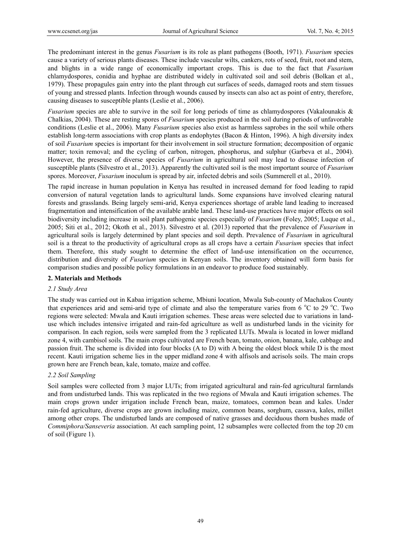The predominant interest in the genus *Fusarium* is its role as plant pathogens (Booth, 1971). *Fusarium* species cause a variety of serious plants diseases. These include vascular wilts, cankers, rots of seed, fruit, root and stem, and blights in a wide range of economically important crops. This is due to the fact that *Fusarium*  chlamydospores, conidia and hyphae are distributed widely in cultivated soil and soil debris (Bolkan et al., 1979). These propagules gain entry into the plant through cut surfaces of seeds, damaged roots and stem tissues of young and stressed plants. Infection through wounds caused by insects can also act as point of entry, therefore, causing diseases to susceptible plants (Leslie et al., 2006).

*Fusarium* species are able to survive in the soil for long periods of time as chlamydospores (Vakalounakis & Chalkias, 2004). These are resting spores of *Fusarium* species produced in the soil during periods of unfavorable conditions (Leslie et al., 2006). Many *Fusarium* species also exist as harmless saprobes in the soil while others establish long-term associations with crop plants as endophytes (Bacon & Hinton, 1996). A high diversity index of soil *Fusarium* species is important for their involvement in soil structure formation; decomposition of organic matter; toxin removal; and the cycling of carbon, nitrogen, phosphorus, and sulphur (Garbeva et al., 2004). However, the presence of diverse species of *Fusarium* in agricultural soil may lead to disease infection of susceptible plants (Silvestro et al., 2013). Apparently the cultivated soil is the most important source of *Fusarium* spores. Moreover, *Fusarium* inoculum is spread by air, infected debris and soils (Summerell et al., 2010).

The rapid increase in human population in Kenya has resulted in increased demand for food leading to rapid conversion of natural vegetation lands to agricultural lands. Some expansions have involved clearing natural forests and grasslands. Being largely semi-arid, Kenya experiences shortage of arable land leading to increased fragmentation and intensification of the available arable land. These land-use practices have major effects on soil biodiversity including increase in soil plant pathogenic species especially of *Fusarium* (Foley, 2005; Luque et al., 2005; Siti et al., 2012; Okoth et al., 2013). Silvestro et al. (2013) reported that the prevalence of *Fusarium* in agricultural soils is largely determined by plant species and soil depth. Prevalence of *Fusarium* in agricultural soil is a threat to the productivity of agricultural crops as all crops have a certain *Fusarium* species that infect them. Therefore, this study sought to determine the effect of land-use intensification on the occurrence, distribution and diversity of *Fusarium* species in Kenyan soils. The inventory obtained will form basis for comparison studies and possible policy formulations in an endeavor to produce food sustainably.

## **2. Materials and Methods**

## *2.1 Study Area*

The study was carried out in Kabaa irrigation scheme, Mbiuni location, Mwala Sub-county of Machakos County that experiences arid and semi-arid type of climate and also the temperature varies from 6  $\degree$ C to 29  $\degree$ C. Two regions were selected: Mwala and Kauti irrigation schemes. These areas were selected due to variations in landuse which includes intensive irrigated and rain-fed agriculture as well as undisturbed lands in the vicinity for comparison. In each region, soils were sampled from the 3 replicated LUTs. Mwala is located in lower midland zone 4, with cambisol soils. The main crops cultivated are French bean, tomato, onion, banana, kale, cabbage and passion fruit. The scheme is divided into four blocks (A to D) with A being the oldest block while D is the most recent. Kauti irrigation scheme lies in the upper midland zone 4 with alfisols and acrisols soils. The main crops grown here are French bean, kale, tomato, maize and coffee.

# *2.2 Soil Sampling*

Soil samples were collected from 3 major LUTs; from irrigated agricultural and rain-fed agricultural farmlands and from undisturbed lands. This was replicated in the two regions of Mwala and Kauti irrigation schemes. The main crops grown under irrigation include French bean, maize, tomatoes, common bean and kales. Under rain-fed agriculture, diverse crops are grown including maize, common beans, sorghum, cassava, kales, millet among other crops. The undisturbed lands are composed of native grasses and deciduous thorn bushes made of *Commiphora/Sanseveria* association. At each sampling point, 12 subsamples were collected from the top 20 cm of soil (Figure 1).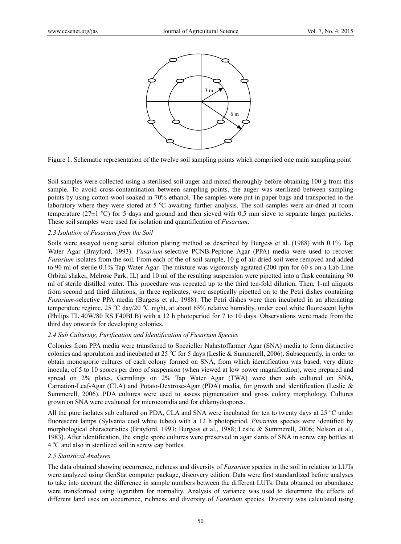

Figure 1. Schematic representation of the twelve soil sampling points which comprised one main sampling point

Soil samples were collected using a sterilised soil auger and mixed thoroughly before obtaining 100 g from this sample. To avoid cross-contamination between sampling points, the auger was sterilized between sampling points by using cotton wool soaked in 70% ethanol. The samples were put in paper bags and transported in the laboratory where they were stored at 5 °C awaiting further analysis. The soil samples were air-dried at room temperature ( $27 \pm 1$  °C) for 5 days and ground and then sieved with 0.5 mm sieve to separate larger particles. These soil samples were used for isolation and quantification of *Fusarium*.

## *2.3 Isolation of Fusarium from the Soil*

Soils were assayed using serial dilution plating method as described by Burgess et al. (1988) with 0.1% Tap Water Agar (Brayford, 1993). *Fusarium*-selective PCNB-Peptone Agar (PPA) media were used to recover *Fusarium* isolates from the soil. From each of the of soil sample, 10 g of air-dried soil were removed and added to 90 ml of sterile 0.1% Tap Water Agar. The mixture was vigorously agitated (200 rpm for 60 s on a Lab-Line Orbital shaker, Melrose Park, IL) and 10 ml of the resulting suspension were pipetted into a flask containing 90 ml of sterile distilled water. This procedure was repeated up to the third ten-fold dilution. Then, 1-ml aliquots from second and third dilutions, in three replicates, were aseptically pipetted on to the Petri dishes containing *Fusarium*-selective PPA media (Burgess et al., 1988). The Petri dishes were then incubated in an alternating temperature regime, 25 °C day/20 °C night, at about 65% relative humidity, under cool white fluorescent lights (Philips TL 40W/80 RS F40BLB) with a 12 h photoperiod for 7 to 10 days. Observations were made from the third day onwards for developing colonies.

## *2.4 Sub Culturing, Purification and Identification of Fusarium Species*

Colonies from PPA media were transferred to Spezieller Nahrstoffarmer Agar (SNA) media to form distinctive colonies and sporulation and incubated at 25 °C for 5 days (Leslie & Summerell, 2006). Subsequently, in order to obtain monosporic cultures of each colony formed on SNA, from which identification was based, very dilute inocula, of 5 to 10 spores per drop of suspension (when viewed at low power magnification), were prepared and spread on 2% plates. Germlings on 2% Tap Water Agar (TWA) were then sub cultured on SNA, Carnation-Leaf-Agar (CLA) and Potato-Dextrose-Agar (PDA) media, for growth and identification (Leslie & Summerell, 2006). PDA cultures were used to assess pigmentation and gross colony morphology. Cultures grown on SNA were evaluated for microconidia and for chlamydospores.

All the pure isolates sub cultured on PDA, CLA and SNA were incubated for ten to twenty days at 25 °C under fluorescent lamps (Sylvania cool white tubes) with a 12 h photoperiod. *Fusarium* species were identified by morphological characteristics (Brayford, 1993; Burgess et al., 1988; Leslie & Summerell, 2006; Nelson et al., 1983). After identification, the single spore cultures were preserved in agar slants of SNA in screw cap bottles at 4 °C and also in sterilized soil in screw cap bottles.

#### *2.5 Statistical Analyses*

The data obtained showing occurrence, richness and diversity of *Fusarium* species in the soil in relation to LUTs were analyzed using GenStat computer package, discovery edition. Data were first standardized before analyses to take into account the difference in sample numbers between the different LUTs. Data obtained on abundance were transformed using logarithm for normality. Analysis of variance was used to determine the effects of different land uses on occurrence, richness and diversity of *Fusarium* species. Diversity was calculated using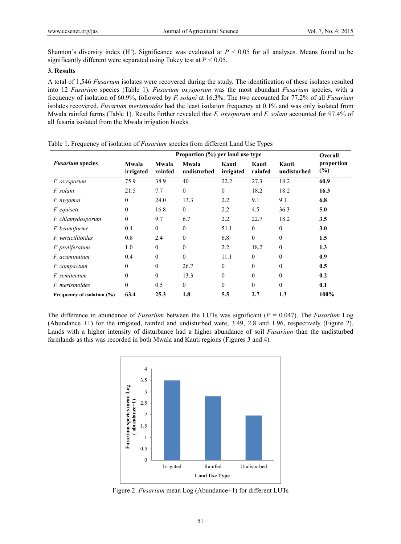Shannon's diversity index (H'). Significance was evaluated at  $P < 0.05$  for all analyses. Means found to be significantly different were separated using Tukey test at  $P < 0.05$ .

# **3. Results**

A total of 1,546 *Fusarium* isolates were recovered during the study. The identification of these isolates resulted into 12 *Fusarium* species (Table 1). *Fusarium oxysporum* was the most abundant *Fusarium* species, with a frequency of isolation of 60.9%, followed by *F. solani* at 16.3%. The two accounted for 77.2% of all *Fusarium*  isolates recovered. *Fusarium merismoides* had the least isolation frequency at 0.1% and was only isolated from Mwala rainfed farms (Table 1). Results further revealed that *F. oxysporum* and *F. solani* accounted for 97.4% of all fusaria isolated from the Mwala irrigation blocks.

|                            | Proportion (%) per land use type |                  |                      |                    |                  |                      | Overall              |  |
|----------------------------|----------------------------------|------------------|----------------------|--------------------|------------------|----------------------|----------------------|--|
| <b>Fusarium</b> species    | Mwala<br>irrigated               | Mwala<br>rainfed | Mwala<br>undisturbed | Kauti<br>irrigated | Kauti<br>rainfed | Kauti<br>undisturbed | proportion<br>$(\%)$ |  |
| F. oxysporum               | 75.9                             | 38.9             | 40                   | 22.2               | 27.3             | 18.2                 | 60.9                 |  |
| F. solani                  | 21.5                             | 7.7              | $\Omega$             | $\theta$           | 18.2             | 18.2                 | 16.3                 |  |
| F. nygamai                 | $\Omega$                         | 24.0             | 13.3                 | 2.2                | 9.1              | 9.1                  | 6.8                  |  |
| <i>F.</i> equiseti         | $\Omega$                         | 16.8             | $\mathbf{0}$         | 2.2                | 4.5              | 36.3                 | 5.0                  |  |
| F. chlamydosporum          | $\theta$                         | 9.7              | 6.7                  | 2.2                | 22.7             | 18.2                 | 3.5                  |  |
| F. beomiforme              | 0.4                              | $\theta$         | $\theta$             | 51.1               | $\mathbf{0}$     | $\theta$             | 3.0                  |  |
| F. verticillioides         | 0.8                              | 2.4              | $\boldsymbol{0}$     | 6.8                | $\mathbf{0}$     | $\theta$             | 1.5                  |  |
| F. proliferatum            | 1.0                              | $\theta$         | $\Omega$             | 2.2                | 18.2             | $\theta$             | 1.3                  |  |
| <i>F. acuminatum</i>       | 0.4                              | $\mathbf{0}$     | $\boldsymbol{0}$     | 11.1               | $\mathbf{0}$     | $\theta$             | 0.9                  |  |
| <i>F.</i> compactum        | $\theta$                         | $\mathbf{0}$     | 26.7                 | $\theta$           | $\mathbf{0}$     | $\theta$             | 0.5                  |  |
| <i>F.</i> semitectum       | $\theta$                         | $\theta$         | 13.3                 | $\theta$           | $\mathbf{0}$     | $\Omega$             | 0.2                  |  |
| <i>F. merismoides</i>      | $\theta$                         | 0.5              | $\boldsymbol{0}$     | $\theta$           | $\theta$         | $\Omega$             | 0.1                  |  |
| Frequency of isolation (%) | 63.4                             | 25.3             | 1.8                  | 5.5                | 2.7              | 1.3                  | 100%                 |  |

Table 1. Frequency of isolation of *Fusarium* species from different Land Use Types

The difference in abundance of *Fusarium* between the LUTs was significant (*P* = 0.047). The *Fusarium* Log (Abundance +1) for the irrigated, rainfed and undisturbed were, 3.49, 2.8 and 1.96, respectively (Figure 2). Lands with a higher intensity of disturbance had a higher abundance of soil *Fusarium* than the undisturbed farmlands as this was recorded in both Mwala and Kauti regions (Figures 3 and 4).



Figure 2. *Fusarium* mean Log (Abundance+1) for different LUTs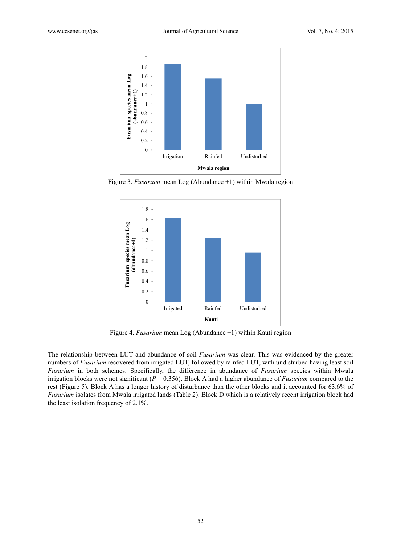

Figure 3. *Fusarium* mean Log (Abundance +1) within Mwala region



Figure 4. *Fusarium* mean Log (Abundance +1) within Kauti region

The relationship between LUT and abundance of soil *Fusarium* was clear. This was evidenced by the greater numbers of *Fusarium* recovered from irrigated LUT, followed by rainfed LUT, with undisturbed having least soil *Fusarium* in both schemes. Specifically, the difference in abundance of *Fusarium* species within Mwala irrigation blocks were not significant ( $P = 0.356$ ). Block A had a higher abundance of *Fusarium* compared to the rest (Figure 5). Block A has a longer history of disturbance than the other blocks and it accounted for 63.6% of *Fusarium* isolates from Mwala irrigated lands (Table 2). Block D which is a relatively recent irrigation block had the least isolation frequency of 2.1%.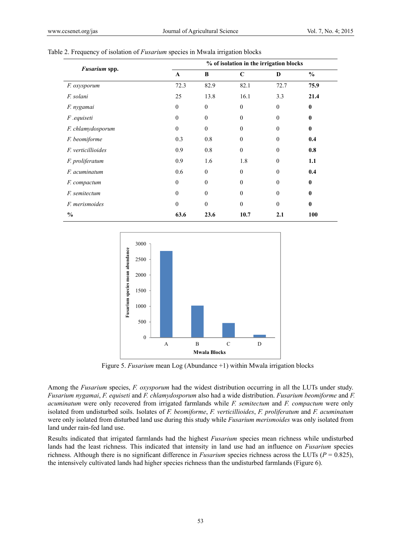|                       | % of isolation in the irrigation blocks |              |                  |                  |               |  |
|-----------------------|-----------------------------------------|--------------|------------------|------------------|---------------|--|
| Fusarium spp.         | $\mathbf{A}$                            | B            | $\mathbf C$      | D                | $\frac{0}{0}$ |  |
| F. oxysporum          | 72.3                                    | 82.9         | 82.1             | 72.7             | 75.9          |  |
| F. solani             | 25                                      | 13.8         | 16.1             | 3.3              | 21.4          |  |
| F. nygamai            | $\mathbf{0}$                            | $\mathbf{0}$ | $\mathbf{0}$     | $\mathbf{0}$     | $\bf{0}$      |  |
| F.equiseti            | $\theta$                                | $\mathbf{0}$ | $\theta$         | $\boldsymbol{0}$ | $\bf{0}$      |  |
| F. chlamydosporum     | $\theta$                                | $\theta$     | $\theta$         | $\theta$         | $\bf{0}$      |  |
| F. beomiforme         | 0.3                                     | 0.8          | $\boldsymbol{0}$ | $\theta$         | 0.4           |  |
| F. verticillioides    | 0.9                                     | 0.8          | $\theta$         | $\theta$         | 0.8           |  |
| F. proliferatum       | 0.9                                     | 1.6          | 1.8              | $\theta$         | 1.1           |  |
| F. acuminatum         | 0.6                                     | $\theta$     | $\theta$         | $\Omega$         | 0.4           |  |
| F. compactum          | $\mathbf{0}$                            | $\mathbf{0}$ | $\boldsymbol{0}$ | $\theta$         | $\bf{0}$      |  |
| F. semitectum         | $\theta$                                | $\theta$     | $\mathbf{0}$     | $\theta$         | $\mathbf{0}$  |  |
| <i>F. merismoides</i> | $\theta$                                | $\mathbf{0}$ | $\theta$         | $\mathbf{0}$     | $\bf{0}$      |  |
| $\frac{0}{0}$         | 63.6                                    | 23.6         | 10.7             | 2.1              | 100           |  |

#### Table 2. Frequency of isolation of *Fusarium* species in Mwala irrigation blocks



Figure 5. *Fusarium* mean Log (Abundance +1) within Mwala irrigation blocks

Among the *Fusarium* species, *F. oxysporum* had the widest distribution occurring in all the LUTs under study. *Fusarium nygamai*, *F. equiseti* and *F. chlamydosporum* also had a wide distribution. *Fusarium beomiforme* and *F. acuminatum* were only recovered from irrigated farmlands while *F. semitectum* and *F. compactum* were only isolated from undisturbed soils. Isolates of *F. beomiforme*, *F. verticillioides*, *F. proliferatum* and *F. acuminatum*  were only isolated from disturbed land use during this study while *Fusarium merismoides* was only isolated from land under rain-fed land use.

Results indicated that irrigated farmlands had the highest *Fusarium* species mean richness while undisturbed lands had the least richness. This indicated that intensity in land use had an influence on *Fusarium* species richness. Although there is no significant difference in *Fusarium* species richness across the LUTs (*P* = 0.825), the intensively cultivated lands had higher species richness than the undisturbed farmlands (Figure 6).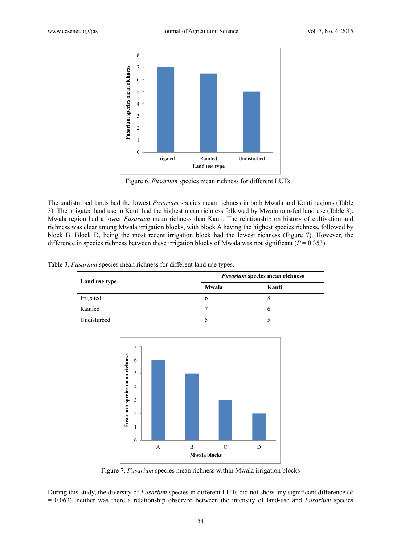

Figure 6. *Fusarium* species mean richness for different LUTs

The undisturbed lands had the lowest *Fusarium* species mean richness in both Mwala and Kauti regions (Table 3). The irrigated land use in Kauti had the highest mean richness followed by Mwala rain-fed land use (Table 3). Mwala region had a lower *Fusarium* mean richness than Kauti. The relationship on history of cultivation and richness was clear among Mwala irrigation blocks, with block A having the highest species richness, followed by block B. Block D, being the most recent irrigation block had the lowest richness (Figure 7). However, the difference in species richness between these irrigation blocks of Mwala was not significant (*P* = 0.353).

|  | Table 3. Fusarium species mean richness for different land use types. |  |  |
|--|-----------------------------------------------------------------------|--|--|
|  |                                                                       |  |  |
|  |                                                                       |  |  |
|  |                                                                       |  |  |

| Land use type | <b>Fusarium species mean richness</b> |       |  |  |
|---------------|---------------------------------------|-------|--|--|
|               | Mwala                                 | Kauti |  |  |
| Irrigated     | n                                     | x     |  |  |
| Rainfed       |                                       | h     |  |  |
| Undisturbed   |                                       |       |  |  |



Figure 7. *Fusarium* species mean richness within Mwala irrigation blocks

During this study, the diversity of *Fusarium* species in different LUTs did not show any significant difference (*P*  = 0.063), neither was there a relationship observed between the intensity of land-use and *Fusarium* species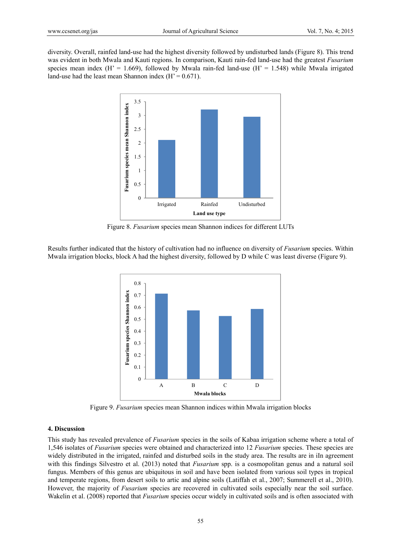diversity. Overall, rainfed land-use had the highest diversity followed by undisturbed lands (Figure 8). This trend was evident in both Mwala and Kauti regions. In comparison, Kauti rain-fed land-use had the greatest *Fusarium* species mean index ( $H' = 1.669$ ), followed by Mwala rain-fed land-use ( $H' = 1.548$ ) while Mwala irrigated land-use had the least mean Shannon index  $(H' = 0.671)$ .



Figure 8. *Fusarium* species mean Shannon indices for different LUTs

Results further indicated that the history of cultivation had no influence on diversity of *Fusarium* species. Within Mwala irrigation blocks, block A had the highest diversity, followed by D while C was least diverse (Figure 9).



Figure 9. *Fusarium* species mean Shannon indices within Mwala irrigation blocks

## **4. Discussion**

This study has revealed prevalence of *Fusarium* species in the soils of Kabaa irrigation scheme where a total of 1,546 isolates of *Fusarium* species were obtained and characterized into 12 *Fusarium* species. These species are widely distributed in the irrigated, rainfed and disturbed soils in the study area. The results are in iIn agreement with this findings Silvestro et al. (2013) noted that *Fusarium* spp. is a cosmopolitan genus and a natural soil fungus. Members of this genus are ubiquitous in soil and have been isolated from various soil types in tropical and temperate regions, from desert soils to artic and alpine soils (Latiffah et al., 2007; Summerell et al., 2010). However, the majority of *Fusarium* species are recovered in cultivated soils especially near the soil surface. Wakelin et al. (2008) reported that *Fusarium* species occur widely in cultivated soils and is often associated with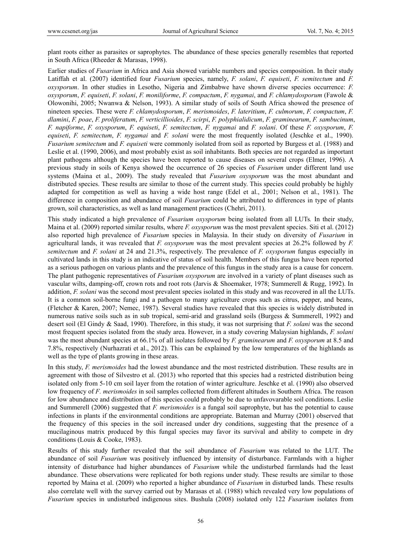plant roots either as parasites or saprophytes. The abundance of these species generally resembles that reported in South Africa (Rheeder & Marasas, 1998).

Earlier studies of *Fusarium* in Africa and Asia showed variable numbers and species composition. In their study Latiffah et al. (2007) identified four *Fusarium* species, namely, *F. solani*, *F. equiseti*, *F. semitectum* and *F. oxysporum*. In other studies in Lesotho, Nigeria and Zimbabwe have shown diverse species occurrence: *F. oxysporum*, *F. equiseti*, *F. solani*, *F. moniliforme*, *F. compactum*, *F. nygamai*, and *F. chlamydosporum* (Fawole & Olowonihi, 2005; Nwanwa & Nelson, 1993). A similar study of soils of South Africa showed the presence of nineteen species. These were *F. chlamydosporum*, *F. merismoides*, *F. lateritium*, *F. culmorum*, *F. compactum*, *F. dlamini*, *F. poae*, *F. proliferatum*, *F. verticillioides*, *F. scirpi*, *F. polyphialidicum*, *F. graminearum*, *F. sambucinum*, *F. napiforme*, *F. oxysporum*, *F. equiseti*, *F. semitectum*, *F. nygamai* and *F. solani*. Of these *F. oxysporum*, *F. equiseti*, *F. semitectum*, *F. nygamai* and *F. solani* were the most frequently isolated (Jeschke et al., 1990). *Fusarium semitectum and F. equiseti were commonly isolated from soil as reported by Burgess et al. (1988) and* Leslie et al. (1990, 2006), and most probably exist as soil inhabitants. Both species are not regarded as important plant pathogens although the species have been reported to cause diseases on several crops (Elmer, 1996). A previous study in soils of Kenya showed the occurrence of 26 species of *Fusarium* under different land use systems (Maina et al., 2009). The study revealed that *Fusarium oxysporum* was the most abundant and distributed species. These results are similar to those of the current study. This species could probably be highly adapted for competition as well as having a wide host range (Edel et al., 2001; Nelson et al., 1981). The difference in composition and abundance of soil *Fusarium* could be attributed to differences in type of plants grown, soil characteristics, as well as land management practices (Chehri, 2011).

This study indicated a high prevalence of *Fusarium oxysporum* being isolated from all LUTs*.* In their study, Maina et al. (2009) reported similar results, where *F. oxysporum* was the most prevalent species. Siti et al. (2012) also reported high prevalence of *Fusarium* species in Malaysia. In their study on diversity of *Fusarium* in agricultural lands, it was revealed that *F. oxysporum* was the most prevalent species at 26.2% followed by *F. semitectum* and *F. solani* at 24 and 21.3%, respectively. The prevalence of *F. oxysporum* fungus especially in cultivated lands in this study is an indicative of status of soil health. Members of this fungus have been reported as a serious pathogen on various plants and the prevalence of this fungus in the study area is a cause for concern. The plant pathogenic representatives of *Fusarium oxysporum* are involved in a variety of plant diseases such as vascular wilts, damping-off, crown rots and root rots (Jarvis & Shoemaker, 1978; Summerell & Rugg, 1992). In addition, *F. solani* was the second most prevalent species isolated in this study and was recovered in all the LUTs. It is a common soil-borne fungi and a pathogen to many agriculture crops such as citrus, pepper, and beans, (Fletcher & Karen, 2007; Nemec, 1987). Several studies have revealed that this species is widely distributed in numerous native soils such as in sub tropical, semi-arid and grassland soils (Burgess & Summerell, 1992) and desert soil (El Gindy & Saad, 1990). Therefore, in this study, it was not surprising that *F. solani* was the second most frequent species isolated from the study area. However, in a study covering Malaysian highlands, *F. solani*  was the most abundant species at 66.1% of all isolates followed by *F. graminearum* and *F. oxysporum* at 8.5 and 7.8%, respectively (Nurhazrati et al., 2012). This can be explained by the low temperatures of the highlands as well as the type of plants growing in these areas.

In this study, *F. merismoides* had the lowest abundance and the most restricted distribution. These results are in agreement with those of Silvestro et al. (2013) who reported that this species had a restricted distribution being isolated only from 5-10 cm soil layer from the rotation of winter agriculture. Jeschke et al. (1990) also observed low frequency of *F. merismoides* in soil samples collected from different altitudes in Southern Africa. The reason for low abundance and distribution of this species could probably be due to unfavovarable soil conditions. Leslie and Summerell (2006) suggested that *F. merismoides* is a fungal soil saprophyte, but has the potential to cause infections in plants if the environmental conditions are appropriate. Bateman and Murray (2001) observed that the frequency of this species in the soil increased under dry conditions, suggesting that the presence of a mucilaginous matrix produced by this fungal species may favor its survival and ability to compete in dry conditions (Louis & Cooke, 1983).

Results of this study further revealed that the soil abundance of *Fusarium* was related to the LUT. The abundance of soil *Fusarium* was positively influenced by intensity of disturbance. Farmlands with a higher intensity of disturbance had higher abundances of *Fusarium* while the undisturbed farmlands had the least abundance. These observations were replicated for both regions under study. These results are similar to those reported by Maina et al. (2009) who reported a higher abundance of *Fusarium* in disturbed lands. These results also correlate well with the survey carried out by Marasas et al. (1988) which revealed very low populations of *Fusarium* species in undisturbed indigenous sites. Bushula (2008) isolated only 122 *Fusarium* isolates from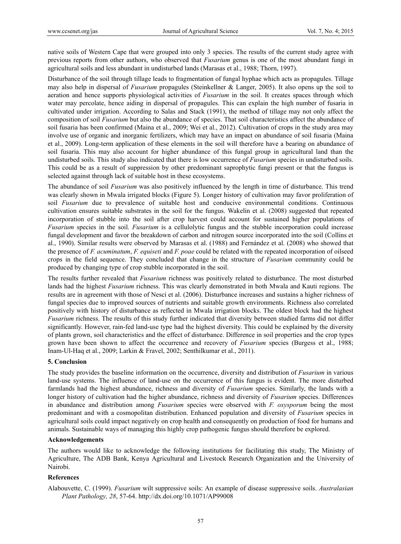native soils of Western Cape that were grouped into only 3 species. The results of the current study agree with previous reports from other authors, who observed that *Fusarium* genus is one of the most abundant fungi in agricultural soils and less abundant in undisturbed lands (Marasas et al., 1988; Thorn, 1997).

Disturbance of the soil through tillage leads to fragmentation of fungal hyphae which acts as propagules. Tillage may also help in dispersal of *Fusarium* propagules (Steinkellner & Langer, 2005). It also opens up the soil to aeration and hence supports physiological activities of *Fusarium* in the soil. It creates spaces through which water may percolate, hence aiding in dispersal of propagules. This can explain the high number of fusaria in cultivated under irrigation. According to Salas and Stack (1991), the method of tillage may not only affect the composition of soil *Fusarium* but also the abundance of species. That soil characteristics affect the abundance of soil fusaria has been confirmed (Maina et al., 2009; Wei et al., 2012). Cultivation of crops in the study area may involve use of organic and inorganic fertilizers, which may have an impact on abundance of soil fusaria (Maina et al., 2009). Long-term application of these elements in the soil will therefore have a bearing on abundance of soil fusaria. This may also account for higher abundance of this fungal group in agricultural land than the undisturbed soils. This study also indicated that there is low occurrence of *Fusarium* species in undisturbed soils. This could be as a result of suppression by other predominant saprophytic fungi present or that the fungus is selected against through lack of suitable host in these ecosystems.

The abundance of soil *Fusarium* was also positively influenced by the length in time of disturbance. This trend was clearly shown in Mwala irrigated blocks (Figure 5). Longer history of cultivation may favor proliferation of soil *Fusarium* due to prevalence of suitable host and conducive environmental conditions. Continuous cultivation ensures suitable substrates in the soil for the fungus. Wakelin et al. (2008) suggested that repeated incorporation of stubble into the soil after crop harvest could account for sustained higher populations of *Fusarium* species in the soil. *Fusarium* is a cellulolytic fungus and the stubble incorporation could increase fungal development and favor the breakdown of carbon and nitrogen source incorporated into the soil (Collins et al., 1990). Similar results were observed by Marasas et al. (1988) and Fernández et al. (2008) who showed that the presence of *F. acuminatum*, *F. equiseti* and *F. poae* could be related with the repeated incorporation of oilseed crops in the field sequence. They concluded that change in the structure of *Fusarium* community could be produced by changing type of crop stubble incorporated in the soil.

The results further revealed that *Fusarium* richness was positively related to disturbance. The most disturbed lands had the highest *Fusarium* richness. This was clearly demonstrated in both Mwala and Kauti regions. The results are in agreement with those of Nesci et al. (2006). Disturbance increases and sustains a higher richness of fungal species due to improved sources of nutrients and suitable growth environments. Richness also correlated positively with history of disturbance as reflected in Mwala irrigation blocks. The oldest block had the highest *Fusarium* richness. The results of this study further indicated that diversity between studied farms did not differ significantly. However, rain-fed land-use type had the highest diversity. This could be explained by the diversity of plants grown, soil characteristics and the effect of disturbance. Difference in soil properties and the crop types grown have been shown to affect the occurrence and recovery of *Fusarium* species (Burgess et al., 1988; Inam-Ul-Haq et al., 2009; Larkin & Fravel, 2002; Senthilkumar et al., 2011).

## **5. Conclusion**

The study provides the baseline information on the occurrence, diversity and distribution of *Fusarium* in various land-use systems. The influence of land-use on the occurrence of this fungus is evident. The more disturbed farmlands had the highest abundance, richness and diversity of *Fusarium* species. Similarly, the lands with a longer history of cultivation had the higher abundance, richness and diversity of *Fusarium* species. Differences in abundance and distribution among *Fusarium* species were observed with *F. oxysporum* being the most predominant and with a cosmopolitan distribution. Enhanced population and diversity of *Fusarium* species in agricultural soils could impact negatively on crop health and consequently on production of food for humans and animals. Sustainable ways of managing this highly crop pathogenic fungus should therefore be explored.

## **Acknowledgements**

The authors would like to acknowledge the following institutions for facilitating this study, The Ministry of Agriculture, The ADB Bank, Kenya Agricultural and Livestock Research Organization and the University of Nairobi.

# **References**

Alabouvette, C. (1999). *Fusarium* wilt suppressive soils: An example of disease suppressive soils. *Australasian Plant Pathology, 28*, 57-64. http://dx.doi.org/10.1071/AP99008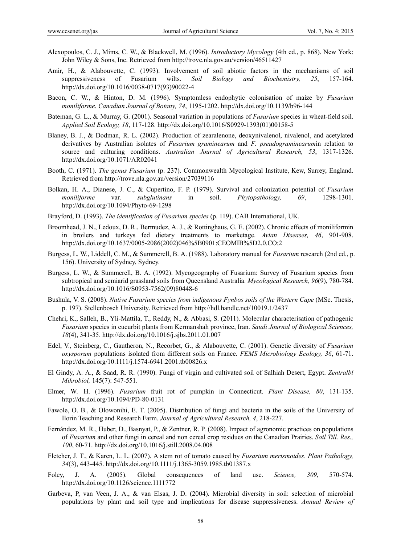- Alexopoulos, C. J., Mims, C. W., & Blackwell, M. (1996). *Introductory Mycology* (4th ed., p. 868). New York: John Wiley & Sons, Inc. Retrieved from http://trove.nla.gov.au/version/46511427
- Amir, H., & Alabouvette, C. (1993). Involvement of soil abiotic factors in the mechanisms of soil suppressiveness of Fusarium wilts. *Soil Biology and Biochemistry, 25*, 157-164. http://dx.doi.org/10.1016/0038-0717(93)90022-4
- Bacon, C. W., & Hinton, D. M. (1996). Symptomless endophytic colonisation of maize by *Fusarium moniliforme*. *Canadian Journal of Botany, 74*, 1195-1202. http://dx.doi.org/10.1139/b96-144
- Bateman, G. L., & Murray, G. (2001). Seasonal variation in populations of *Fusarium* species in wheat-field soil. *Applied Soil Ecology, 18*, 117-128. http://dx.doi.org/10.1016/S0929-1393(01)00158-5
- Blaney, B. J., & Dodman, R. L. (2002). Production of zearalenone, deoxynivalenol, nivalenol, and acetylated derivatives by Australian isolates of *Fusarium graminearum* and *F. pseudograminearum*in relation to source and culturing conditions. *Australian Journal of Agricultural Research, 53*, 1317-1326. http://dx.doi.org/10.1071/AR02041
- Booth, C. (1971). *The genus Fusarium* (p. 237). Commonwealth Mycological Institute, Kew, Surrey, England. Retrieved from http://trove.nla.gov.au/version/27039116
- Bolkan, H. A., Dianese, J. C., & Cupertino, F. P. (1979). Survival and colonization potential of *Fusarium moniliforme* var. *subglutinans* in soil. *Phytopathology, 69*, 1298-1301. http://dx.doi.org/10.1094/Phyto-69-1298
- Brayford, D. (1993). *The identification of Fusarium species* (p. 119). CAB International, UK.
- Broomhead, J. N., Ledoux, D. R., Bermudez, A. J., & Rottinghaus, G. E. (2002). Chronic effects of moniliformin in broilers and turkeys fed dietary treatments to marketage. *Avian Diseases, 46*, 901-908. http://dx.doi.org/10.1637/0005-2086(2002)046%5B0901:CEOMIB%5D2.0.CO;2
- Burgess, L. W., Liddell, C. M., & Summerell, B. A. (1988). Laboratory manual for *Fusarium* research (2nd ed., p. 156). University of Sydney, Sydney.
- Burgess, L. W., & Summerell, B. A. (1992). Mycogeography of Fusarium: Survey of Fusarium species from subtropical and semiarid grassland soils from Queensland Australia. *Mycological Research, 96*(9), 780-784. http://dx.doi.org/10.1016/S0953-7562(09)80448-6
- Bushula, V. S. (2008). *Native Fusarium species from indigenous Fynbos soils of the Western Cape* (MSc. Thesis, p. 197). Stellenbosch University. Retrieved from http://hdl.handle.net/10019.1/2437
- Chehri, K., Salleh, B., Yli-Mattila, T., Reddy, N., & Abbasi, S. (2011). Molecular characterisation of pathogenic *Fusarium* species in cucurbit plants from Kermanshah province, Iran. *Saudi Journal of Biological Sciences, 18*(4), 341-35. http://dx.doi.org/10.1016/j.sjbs.2011.01.007
- Edel, V., Steinberg, C., Gautheron, N., Recorbet, G., & Alabouvette, C. (2001). Genetic diversity of *Fusarium oxysporum* populations isolated from different soils on France. *FEMS Microbiology Ecology, 36*, 61-71. http://dx.doi.org/10.1111/j.1574-6941.2001.tb00826.x
- El Gindy, A. A., & Saad, R. R. (1990). Fungi of virgin and cultivated soil of Salhiah Desert, Egypt. *Zentralbl Mikrobiol,* 145(7): 547-551.
- Elmer, W. H. (1996). *Fusarium* fruit rot of pumpkin in Connecticut. *Plant Disease, 80*, 131-135. http://dx.doi.org/10.1094/PD-80-0131
- Fawole, O. B., & Olowonihi, E. T. (2005). Distribution of fungi and bacteria in the soils of the University of Ilorin Teaching and Research Farm. *Journal of Agricultural Research, 4*, 218-227.
- Fernández, M. R., Huber, D., Basnyat, P., & Zentner, R. P. (2008). Impact of agronomic practices on populations of *Fusarium* and other fungi in cereal and non cereal crop residues on the Canadian Prairies. *Soil Till. Res., 100*, 60-71. http://dx.doi.org/10.1016/j.still.2008.04.008
- Fletcher, J. T., & Karen, L. L. (2007). A stem rot of tomato caused by *Fusarium merismoides*. *Plant Pathology, 34*(3), 443-445. http://dx.doi.org/10.1111/j.1365-3059.1985.tb01387.x
- Foley, J. A. (2005). Global consequences of land use. *Science, 309*, 570-574. http://dx.doi.org/10.1126/science.1111772
- Garbeva, P, van Veen, J. A., & van Elsas, J. D. (2004). Microbial diversity in soil: selection of microbial populations by plant and soil type and implications for disease suppressiveness. *Annual Review of*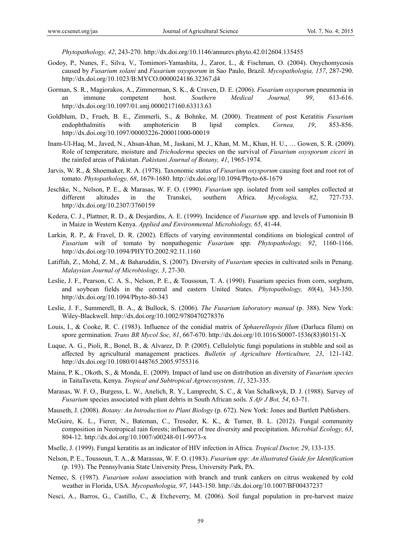*Phytopathology, 42*, 243-270. http://dx.doi.org/10.1146/annurev.phyto.42.012604.135455

- Godoy, P., Nunes, F., Silva, V., Tomimori-Yamashita, J., Zaror, L., & Fischman, O. (2004). Onychomycosis caused by *Fusarium solani* and *Fusarium oxysporum* in Sao Paulo, Brazil. *Mycopathologia, 157*, 287-290. http://dx.doi.org/10.1023/B:MYCO.0000024186.32367.d4
- Gorman, S. R., Magiorakos, A., Zimmerman, S. K., & Craven, D. E. (2006). *Fusarium oxysporum* pneumonia in an immune competent host. *Southern Medical Journal, 99*, 613-616. http://dx.doi.org/10.1097/01.smj.0000217160.63313.63
- Goldblum, D., Frueh, B. E., Zimmerli, S., & Bohnke, M. (2000). Treatment of post Keratitis *Fusarium*  endophthalmitis with amphotericin B lipid complex. *Cornea, 19*, 853-856. http://dx.doi.org/10.1097/00003226-200011000-00019
- Inam-Ul-Haq, M., Javed, N., Ahsan-khan, M., Jaskani, M. J., Khan, M. M., Khan, H. U., … Gowen, S. R. (2009). Role of temperature, moisture and *Trichoderma* species on the survival of *Fusarium oxysporum ciceri* in the rainfed areas of Pakistan. *Pakistani Journal of Botany, 41*, 1965-1974.
- Jarvis, W. R., & Shoemaker, R. A. (1978). Taxonomic status of *Fusarium oxysporum* causing foot and root rot of tomato. *Phytopathology, 68*, 1679-1680. http://dx.doi.org/10.1094/Phyto-68-1679
- Jeschke, N., Nelson, P. E., & Marasas, W. F. O. (1990). *Fusarium* spp. isolated from soil samples collected at different altitudes in the Transkei, southern Africa. *Mycologia, 82*, 727-733. http://dx.doi.org/10.2307/3760159
- Kedera, C. J., Plattner, R. D., & Desjardins, A. E. (1999). Incidence of *Fusarium* spp. and levels of Fumonisin B in Maize in Western Kenya. *Applied and Environmental Microbiology, 65*, 41-44.
- Larkin, R. P., & Fravel, D. R. (2002). Effects of varying environmental conditions on biological control of *Fusarium* wilt of tomato by nonpathogenic *Fusarium* spp. *Phytopathology, 92*, 1160-1166. http://dx.doi.org/10.1094/PHYTO.2002.92.11.1160
- Latiffah, Z., Mohd, Z. M., & Baharuddin, S. (2007). Diversity of *Fusarium* species in cultivated soils in Penang. *Malaysian Journal of Microbiology, 3*, 27-30.
- Leslie, J. F., Pearson, C. A. S., Nelson, P. E., & Toussoun, T. A. (1990). Fusarium species from corn, sorghum, and soybean fields in the central and eastern United States. *Phytopathology, 80*(4), 343-350. http://dx.doi.org/10.1094/Phyto-80-343
- Leslie, J. F., Summerell, B. A., & Bullock, S. (2006). *The Fusarium laboratory manual* (p. 388). New York: Wiley-Blackwell. http://dx.doi.org/10.1002/9780470278376
- Louis, I., & Cooke, R. C. (1983). Influence of the conidial matrix of *Sphaerellopsis filum* (Darluca filum) on spore germination. *Trans BR Mycol Soc, 81*, 667-670. http://dx.doi.org/10.1016/S0007-1536(83)80151-X
- Luque, A. G., Pioli, R., Bonel, B., & Alvarez, D. P. (2005). Cellulolytic fungi populations in stubble and soil as affected by agricultural management practices. *Bulletin of Agriculture Horticulture, 23*, 121-142. http://dx.doi.org/10.1080/01448765.2005.9755316
- Maina, P. K., Okoth, S., & Monda, E. (2009). Impact of land use on distribution an diversity of *Fusarium species*  in TaitaTaveta, Kenya. *Tropical and Subtropical Agroecosystem, 11*, 323-335.
- Marasas, W. F. O., Burgess, L. W., Anelich, R. Y., Lamprecht, S. C., & Van Schalkwyk, D. J. (1988). Survey of *Fusarium* species associated with plant debris in South African soils. *S Afr J Bot, 54*, 63-71.
- Mauseth, J. (2008). *Botany: An Introduction to Plant Biology* (p. 672). New York: Jones and Bartlett Publishers.
- McGuire, K. L., Fierer, N., Bateman, C., Treseder, K. K., & Turner, B. L. (2012). Fungal community composition in Neotropical rain forests; influence of tree diversity and precipitation. *Microbial Ecology, 63*, 804-12. http://dx.doi.org/10.1007/s00248-011-9973-x
- Mselle, J. (1999). Fungal keratitis as an indicator of HIV infection in Africa. *Tropical Doctor, 29*, 133-135.
- Nelson, P. E., Toussoun, T. A., & Marassas, W. F. O. (1983). *Fusarium spp: An illustrated Guide for Identification*  (p. 193). The Pennsylvania State University Press, University Park, PA.
- Nemec, S. (1987). *Fusarium solani* association with branch and trunk cankers on citrus weakened by cold weather in Florida, USA. *Mycopathologia, 97*, 1443-150. http://dx.doi.org/10.1007/BF00437237
- Nesci, A., Barros, G., Castillo, C., & Etcheverry, M. (2006). Soil fungal population in pre-harvest maize